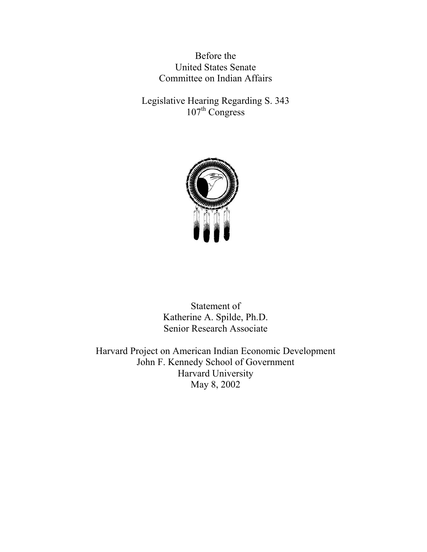Before the United States Senate Committee on Indian Affairs

Legislative Hearing Regarding S. 343 107<sup>th</sup> Congress



Statement of Katherine A. Spilde, Ph.D. Senior Research Associate

Harvard Project on American Indian Economic Development John F. Kennedy School of Government Harvard University May 8, 2002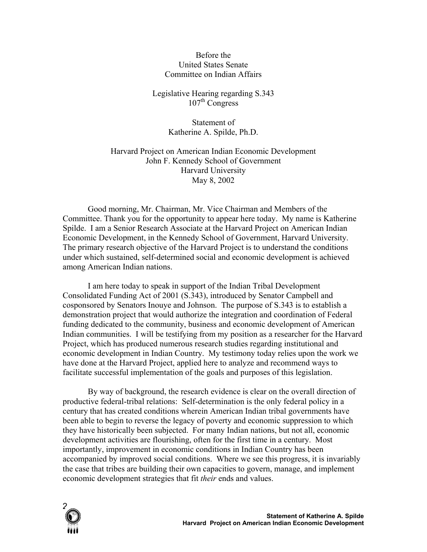## Before the United States Senate Committee on Indian Affairs

## Legislative Hearing regarding S.343  $107<sup>th</sup> Congress$

Statement of Katherine A. Spilde, Ph.D.

Harvard Project on American Indian Economic Development John F. Kennedy School of Government Harvard University May 8, 2002

Good morning, Mr. Chairman, Mr. Vice Chairman and Members of the Committee. Thank you for the opportunity to appear here today. My name is Katherine Spilde. I am a Senior Research Associate at the Harvard Project on American Indian Economic Development, in the Kennedy School of Government, Harvard University. The primary research objective of the Harvard Project is to understand the conditions under which sustained, self-determined social and economic development is achieved among American Indian nations.

I am here today to speak in support of the Indian Tribal Development Consolidated Funding Act of 2001 (S.343), introduced by Senator Campbell and cosponsored by Senators Inouye and Johnson. The purpose of S.343 is to establish a demonstration project that would authorize the integration and coordination of Federal funding dedicated to the community, business and economic development of American Indian communities. I will be testifying from my position as a researcher for the Harvard Project, which has produced numerous research studies regarding institutional and economic development in Indian Country. My testimony today relies upon the work we have done at the Harvard Project, applied here to analyze and recommend ways to facilitate successful implementation of the goals and purposes of this legislation.

By way of background, the research evidence is clear on the overall direction of productive federal-tribal relations: Self-determination is the only federal policy in a century that has created conditions wherein American Indian tribal governments have been able to begin to reverse the legacy of poverty and economic suppression to which they have historically been subjected. For many Indian nations, but not all, economic development activities are flourishing, often for the first time in a century. Most importantly, improvement in economic conditions in Indian Country has been accompanied by improved social conditions. Where we see this progress, it is invariably the case that tribes are building their own capacities to govern, manage, and implement economic development strategies that fit *their* ends and values.

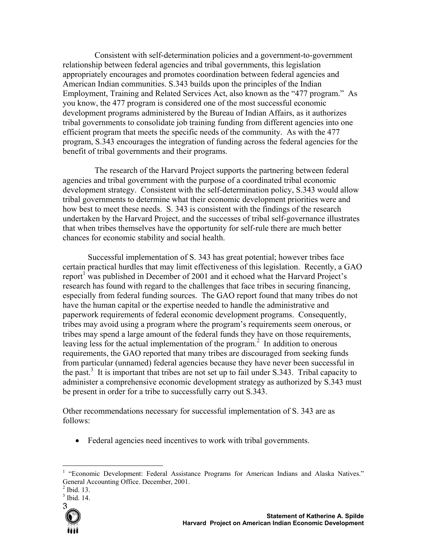Consistent with self-determination policies and a government-to-government relationship between federal agencies and tribal governments, this legislation appropriately encourages and promotes coordination between federal agencies and American Indian communities. S.343 builds upon the principles of the Indian Employment, Training and Related Services Act, also known as the "477 program." As you know, the 477 program is considered one of the most successful economic development programs administered by the Bureau of Indian Affairs, as it authorizes tribal governments to consolidate job training funding from different agencies into one efficient program that meets the specific needs of the community. As with the 477 program, S.343 encourages the integration of funding across the federal agencies for the benefit of tribal governments and their programs.

The research of the Harvard Project supports the partnering between federal agencies and tribal government with the purpose of a coordinated tribal economic development strategy. Consistent with the self-determination policy, S.343 would allow tribal governments to determine what their economic development priorities were and how best to meet these needs. S. 343 is consistent with the findings of the research undertaken by the Harvard Project, and the successes of tribal self-governance illustrates that when tribes themselves have the opportunity for self-rule there are much better chances for economic stability and social health.

Successful implementation of S. 343 has great potential; however tribes face certain practical hurdles that may limit effectiveness of this legislation. Recently, a GAO report<sup>[1](#page-2-0)</sup> was published in December of 2001 and it echoed what the Harvard Project's research has found with regard to the challenges that face tribes in securing financing, especially from federal funding sources. The GAO report found that many tribes do not have the human capital or the expertise needed to handle the administrative and paperwork requirements of federal economic development programs. Consequently, tribes may avoid using a program where the program's requirements seem onerous, or tribes may spend a large amount of the federal funds they have on those requirements, leaving less for the actual implementation of the program.<sup>[2](#page-2-1)</sup> In addition to onerous requirements, the GAO reported that many tribes are discouraged from seeking funds from particular (unnamed) federal agencies because they have never been successful in the past.<sup>3</sup> It is important that tribes are not set up to fail under S[.3](#page-2-2)43. Tribal capacity to administer a comprehensive economic development strategy as authorized by S.343 must be present in order for a tribe to successfully carry out S.343.

Other recommendations necessary for successful implementation of S. 343 are as follows:

• Federal agencies need incentives to work with tribal governments.

<span id="page-2-2"></span> $3$  Ibid. 14.



 $\overline{a}$ 

<span id="page-2-0"></span><sup>&</sup>lt;sup>1</sup> "Economic Development: Federal Assistance Programs for American Indians and Alaska Natives." General Accounting Office. December, 2001.

<span id="page-2-1"></span> $<sup>2</sup>$  Ibid. 13.</sup>